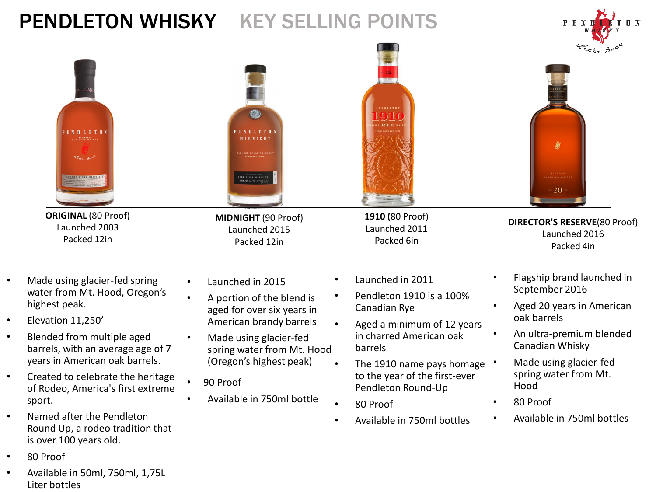# PENDLETON WHISKY KEY SELLING POINTS





• Available in 50ml, 750ml, 1,75L Liter bottles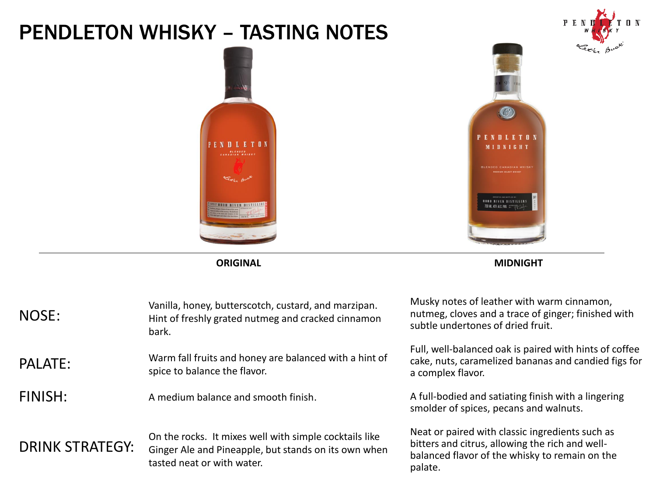### PENDLETON WHISKY – TASTING NOTES





 $\mathbf{0}$  N

**ORIGINAL MIDNIGHT**

| NOSE:                  | Vanilla, honey, butterscotch, custard, and marzipan.<br>Hint of freshly grated nutmeg and cracked cinnamon<br>bark.                          | Musky notes of leather with warm cinnamon,<br>nutmeg, cloves and a trace of ginger; finished with<br>subtle undertones of dried fruit.                          |
|------------------------|----------------------------------------------------------------------------------------------------------------------------------------------|-----------------------------------------------------------------------------------------------------------------------------------------------------------------|
| <b>PALATE:</b>         | Warm fall fruits and honey are balanced with a hint of<br>spice to balance the flavor.                                                       | Full, well-balanced oak is paired with hints of coffee<br>cake, nuts, caramelized bananas and candied figs for<br>a complex flavor.                             |
| FINISH:                | A medium balance and smooth finish.                                                                                                          | A full-bodied and satiating finish with a lingering<br>smolder of spices, pecans and walnuts.                                                                   |
| <b>DRINK STRATEGY:</b> | On the rocks. It mixes well with simple cocktails like<br>Ginger Ale and Pineapple, but stands on its own when<br>tasted neat or with water. | Neat or paired with classic ingredients such as<br>bitters and citrus, allowing the rich and well-<br>balanced flavor of the whisky to remain on the<br>palate. |